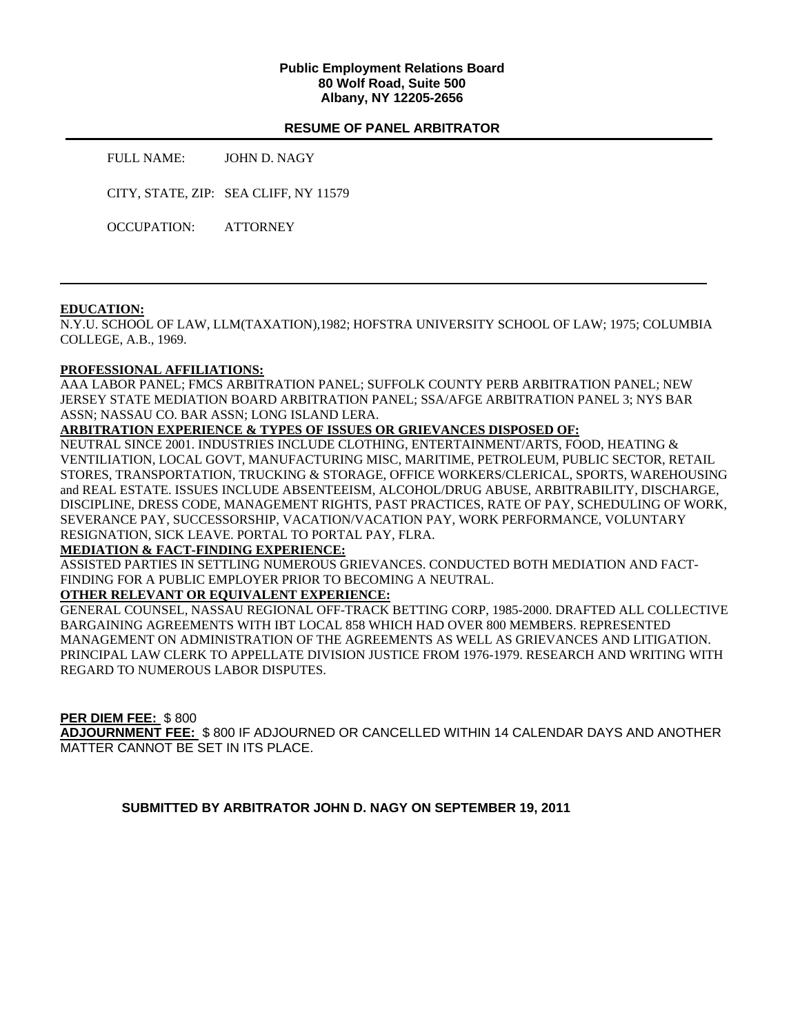### **Public Employment Relations Board 80 Wolf Road, Suite 500 Albany, NY 12205-2656**

## **RESUME OF PANEL ARBITRATOR**

FULL NAME: JOHN D. NAGY

CITY, STATE, ZIP: SEA CLIFF, NY 11579

OCCUPATION: ATTORNEY

#### **EDUCATION:**

N.Y.U. SCHOOL OF LAW, LLM(TAXATION),1982; HOFSTRA UNIVERSITY SCHOOL OF LAW; 1975; COLUMBIA COLLEGE, A.B., 1969.

#### **PROFESSIONAL AFFILIATIONS:**

AAA LABOR PANEL; FMCS ARBITRATION PANEL; SUFFOLK COUNTY PERB ARBITRATION PANEL; NEW JERSEY STATE MEDIATION BOARD ARBITRATION PANEL; SSA/AFGE ARBITRATION PANEL 3; NYS BAR ASSN; NASSAU CO. BAR ASSN; LONG ISLAND LERA.

## **ARBITRATION EXPERIENCE & TYPES OF ISSUES OR GRIEVANCES DISPOSED OF:**

NEUTRAL SINCE 2001. INDUSTRIES INCLUDE CLOTHING, ENTERTAINMENT/ARTS, FOOD, HEATING & VENTILIATION, LOCAL GOVT, MANUFACTURING MISC, MARITIME, PETROLEUM, PUBLIC SECTOR, RETAIL STORES, TRANSPORTATION, TRUCKING & STORAGE, OFFICE WORKERS/CLERICAL, SPORTS, WAREHOUSING and REAL ESTATE. ISSUES INCLUDE ABSENTEEISM, ALCOHOL/DRUG ABUSE, ARBITRABILITY, DISCHARGE, DISCIPLINE, DRESS CODE, MANAGEMENT RIGHTS, PAST PRACTICES, RATE OF PAY, SCHEDULING OF WORK, SEVERANCE PAY, SUCCESSORSHIP, VACATION/VACATION PAY, WORK PERFORMANCE, VOLUNTARY RESIGNATION, SICK LEAVE. PORTAL TO PORTAL PAY, FLRA.

## **MEDIATION & FACT-FINDING EXPERIENCE:**

ASSISTED PARTIES IN SETTLING NUMEROUS GRIEVANCES. CONDUCTED BOTH MEDIATION AND FACT-FINDING FOR A PUBLIC EMPLOYER PRIOR TO BECOMING A NEUTRAL.

## **OTHER RELEVANT OR EQUIVALENT EXPERIENCE:**

GENERAL COUNSEL, NASSAU REGIONAL OFF-TRACK BETTING CORP, 1985-2000. DRAFTED ALL COLLECTIVE BARGAINING AGREEMENTS WITH IBT LOCAL 858 WHICH HAD OVER 800 MEMBERS. REPRESENTED MANAGEMENT ON ADMINISTRATION OF THE AGREEMENTS AS WELL AS GRIEVANCES AND LITIGATION. PRINCIPAL LAW CLERK TO APPELLATE DIVISION JUSTICE FROM 1976-1979. RESEARCH AND WRITING WITH REGARD TO NUMEROUS LABOR DISPUTES.

## **PER DIEM FEE:** \$ 800

**ADJOURNMENT FEE:** \$ 800 IF ADJOURNED OR CANCELLED WITHIN 14 CALENDAR DAYS AND ANOTHER MATTER CANNOT BE SET IN ITS PLACE.

**SUBMITTED BY ARBITRATOR JOHN D. NAGY ON SEPTEMBER 19, 2011**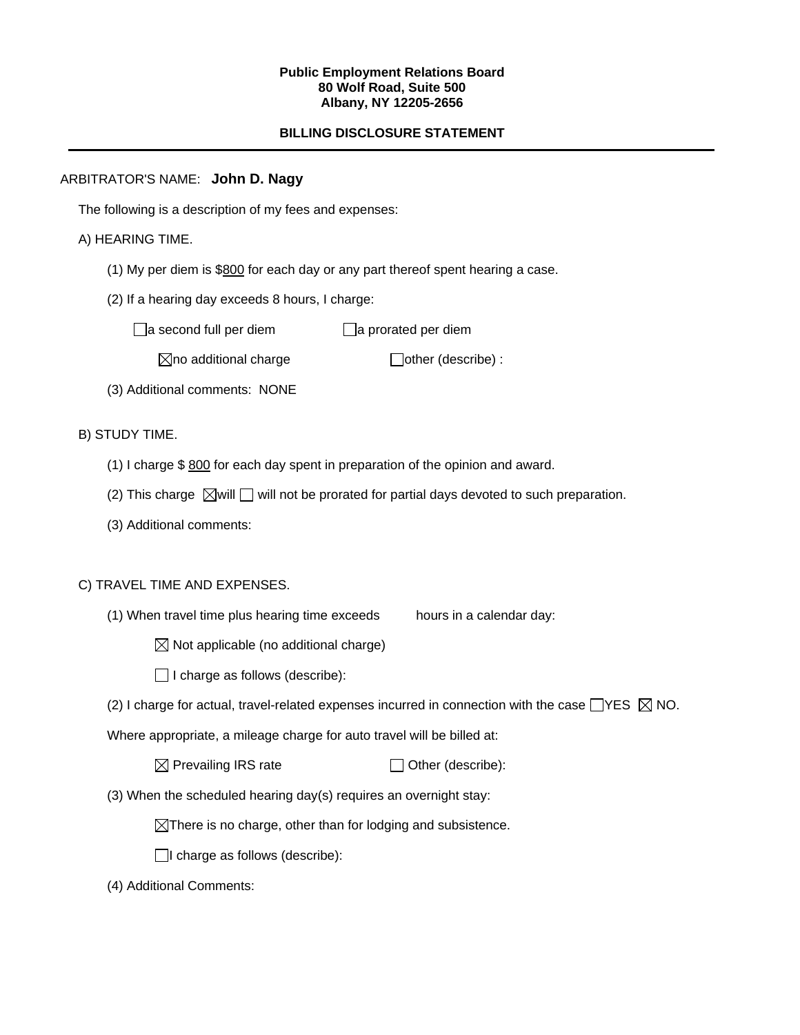#### **Public Employment Relations Board 80 Wolf Road, Suite 500 Albany, NY 12205-2656**

# **BILLING DISCLOSURE STATEMENT**

## ARBITRATOR'S NAME: **John D. Nagy**

The following is a description of my fees and expenses:

# A) HEARING TIME.

- (1) My per diem is \$800 for each day or any part thereof spent hearing a case.
- (2) If a hearing day exceeds 8 hours, I charge:

 $\Box$ a second full per diem  $\Box$ a prorated per diem

 $\boxtimes$ no additional charge  $\Box$ other (describe) :

(3) Additional comments: NONE

B) STUDY TIME.

- (1) I charge \$ 800 for each day spent in preparation of the opinion and award.
- (2) This charge  $\boxtimes$  will  $\Box$  will not be prorated for partial days devoted to such preparation.
- (3) Additional comments:

## C) TRAVEL TIME AND EXPENSES.

(1) When travel time plus hearing time exceeds hours in a calendar day:

 $\boxtimes$  Not applicable (no additional charge)

 $\Box$  I charge as follows (describe):

(2) I charge for actual, travel-related expenses incurred in connection with the case  $\Box$ YES  $\boxtimes$  NO.

Where appropriate, a mileage charge for auto travel will be billed at:

| $\boxtimes$ Prevailing IRS rate | $\Box$ Other (describe): |
|---------------------------------|--------------------------|
|---------------------------------|--------------------------|

(3) When the scheduled hearing day(s) requires an overnight stay:

 $\boxtimes$ There is no charge, other than for lodging and subsistence.

 $\Box$ I charge as follows (describe):

(4) Additional Comments: